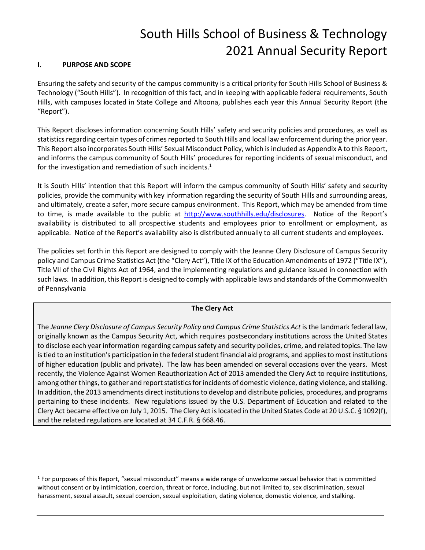# South Hills School of Business & Technology 2021 Annual Security Report

# **I. PURPOSE AND SCOPE**

 $\overline{a}$ 

Ensuring the safety and security of the campus community is a critical priority for South Hills School of Business & Technology ("South Hills"). In recognition of this fact, and in keeping with applicable federal requirements, South Hills, with campuses located in State College and Altoona, publishes each year this Annual Security Report (the "Report").

This Report discloses information concerning South Hills' safety and security policies and procedures, as well as statistics regarding certain types of crimes reported to South Hills and local law enforcement during the prior year. This Report also incorporates South Hills' Sexual Misconduct Policy, which is included as Appendix A to this Report, and informs the campus community of South Hills' procedures for reporting incidents of sexual misconduct, and for the investigation and remediation of such incidents.<sup>1</sup>

It is South Hills' intention that this Report will inform the campus community of South Hills' safety and security policies, provide the community with key information regarding the security of South Hills and surrounding areas, and ultimately, create a safer, more secure campus environment. This Report, which may be amended from time to time, is made available to the public at [http://www.southhills.edu/disclosures.](http://www.southhills.edu/disclosures) Notice of the Report's availability is distributed to all prospective students and employees prior to enrollment or employment, as applicable. Notice of the Report's availability also is distributed annually to all current students and employees.

The policies set forth in this Report are designed to comply with the Jeanne Clery Disclosure of Campus Security policy and Campus Crime Statistics Act (the "Clery Act"), Title IX of the Education Amendments of 1972 ("Title IX"), Title VII of the Civil Rights Act of 1964, and the implementing regulations and guidance issued in connection with such laws. In addition, this Report is designed to comply with applicable laws and standards of the Commonwealth of Pennsylvania

# **The Clery Act**

The *Jeanne Clery Disclosure of Campus Security Policy and Campus Crime Statistics Act* is the landmark federal law, originally known as the Campus Security Act, which requires postsecondary institutions across the United States to disclose each year information regarding campus safety and security policies, crime, and related topics. The law is tied to an institution's participation in the federal student financial aid programs, and applies to most institutions of higher education (public and private). The law has been amended on several occasions over the years. Most recently, the Violence Against Women Reauthorization Act of 2013 amended the Clery Act to require institutions, among other things, to gather and report statistics for incidents of domestic violence, dating violence, and stalking. In addition, the 2013 amendments direct institutions to develop and distribute policies, procedures, and programs pertaining to these incidents. New regulations issued by the U.S. Department of Education and related to the Clery Act became effective on July 1, 2015. The Clery Act is located in the United States Code at 20 U.S.C. § 1092(f), and the related regulations are located at 34 C.F.R. § 668.46.

<sup>1</sup> For purposes of this Report, "sexual misconduct" means a wide range of unwelcome sexual behavior that is committed without consent or by intimidation, coercion, threat or force, including, but not limited to, sex discrimination, sexual harassment, sexual assault, sexual coercion, sexual exploitation, dating violence, domestic violence, and stalking.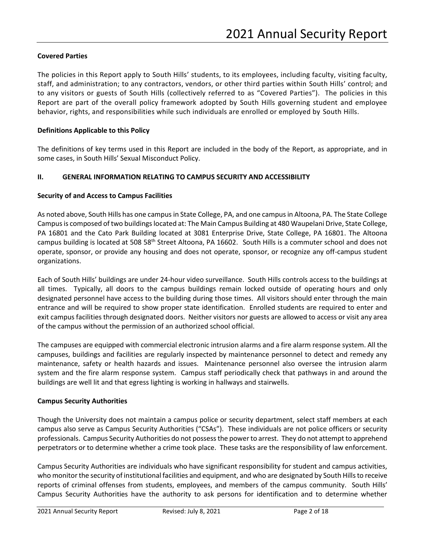# **Covered Parties**

The policies in this Report apply to South Hills' students, to its employees, including faculty, visiting faculty, staff, and administration; to any contractors, vendors, or other third parties within South Hills' control; and to any visitors or guests of South Hills (collectively referred to as "Covered Parties"). The policies in this Report are part of the overall policy framework adopted by South Hills governing student and employee behavior, rights, and responsibilities while such individuals are enrolled or employed by South Hills.

## **Definitions Applicable to this Policy**

The definitions of key terms used in this Report are included in the body of the Report, as appropriate, and in some cases, in South Hills' Sexual Misconduct Policy.

#### **II. GENERAL INFORMATION RELATING TO CAMPUS SECURITY AND ACCESSIBILITY**

#### **Security of and Access to Campus Facilities**

As noted above, South Hills has one campus in State College, PA, and one campus in Altoona, PA. The State College Campusis composed of two buildings located at: The Main Campus Building at 480 Waupelani Drive, State College, PA 16801 and the Cato Park Building located at 3081 Enterprise Drive, State College, PA 16801. The Altoona campus building is located at 508 58th Street Altoona, PA 16602. South Hills is a commuter school and does not operate, sponsor, or provide any housing and does not operate, sponsor, or recognize any off-campus student organizations.

Each of South Hills' buildings are under 24-hour video surveillance. South Hills controls access to the buildings at all times. Typically, all doors to the campus buildings remain locked outside of operating hours and only designated personnel have access to the building during those times. All visitors should enter through the main entrance and will be required to show proper state identification. Enrolled students are required to enter and exit campus facilities through designated doors. Neither visitors nor guests are allowed to access or visit any area of the campus without the permission of an authorized school official.

The campuses are equipped with commercial electronic intrusion alarms and a fire alarm response system. All the campuses, buildings and facilities are regularly inspected by maintenance personnel to detect and remedy any maintenance, safety or health hazards and issues. Maintenance personnel also oversee the intrusion alarm system and the fire alarm response system. Campus staff periodically check that pathways in and around the buildings are well lit and that egress lighting is working in hallways and stairwells.

#### **Campus Security Authorities**

Though the University does not maintain a campus police or security department, select staff members at each campus also serve as Campus Security Authorities ("CSAs"). These individuals are not police officers or security professionals. Campus Security Authorities do not possess the power to arrest. They do not attempt to apprehend perpetrators or to determine whether a crime took place. These tasks are the responsibility of law enforcement.

Campus Security Authorities are individuals who have significant responsibility for student and campus activities, who monitor the security of institutional facilities and equipment, and who are designated by South Hills to receive reports of criminal offenses from students, employees, and members of the campus community. South Hills' Campus Security Authorities have the authority to ask persons for identification and to determine whether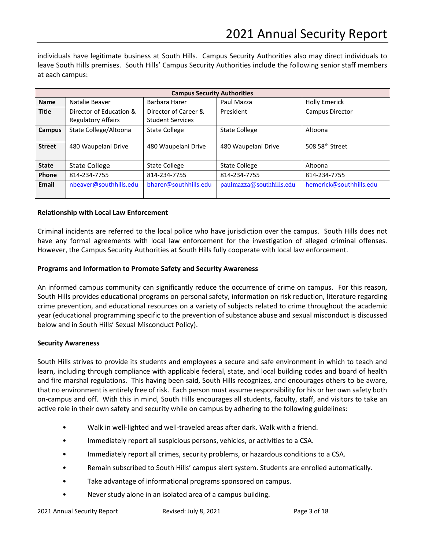individuals have legitimate business at South Hills. Campus Security Authorities also may direct individuals to leave South Hills premises. South Hills' Campus Security Authorities include the following senior staff members at each campus:

|                                      | <b>Campus Security Authorities</b>                   |                                                 |                          |                             |  |  |  |  |  |  |  |
|--------------------------------------|------------------------------------------------------|-------------------------------------------------|--------------------------|-----------------------------|--|--|--|--|--|--|--|
| <b>Name</b>                          | Natalie Beaver                                       | Barbara Harer                                   | Paul Mazza               | <b>Holly Emerick</b>        |  |  |  |  |  |  |  |
| <b>Title</b>                         | Director of Education &<br><b>Regulatory Affairs</b> | Director of Career &<br><b>Student Services</b> | President                | Campus Director             |  |  |  |  |  |  |  |
| Campus                               | State College/Altoona                                | <b>State College</b>                            | <b>State College</b>     | Altoona                     |  |  |  |  |  |  |  |
| <b>Street</b><br>480 Waupelani Drive |                                                      | 480 Waupelani Drive                             | 480 Waupelani Drive      | 508 58 <sup>th</sup> Street |  |  |  |  |  |  |  |
| <b>State</b><br><b>State College</b> |                                                      | <b>State College</b>                            | <b>State College</b>     | Altoona                     |  |  |  |  |  |  |  |
| Phone<br>814-234-7755                |                                                      | 814-234-7755                                    | 814-234-7755             | 814-234-7755                |  |  |  |  |  |  |  |
| Email                                | nbeaver@southhills.edu<br>bharer@southhills.edu      |                                                 | paulmazza@southhills.edu | hemerick@southhills.edu     |  |  |  |  |  |  |  |

#### **Relationship with Local Law Enforcement**

Criminal incidents are referred to the local police who have jurisdiction over the campus. South Hills does not have any formal agreements with local law enforcement for the investigation of alleged criminal offenses. However, the Campus Security Authorities at South Hills fully cooperate with local law enforcement.

#### **Programs and Information to Promote Safety and Security Awareness**

An informed campus community can significantly reduce the occurrence of crime on campus. For this reason, South Hills provides educational programs on personal safety, information on risk reduction, literature regarding crime prevention, and educational resources on a variety of subjects related to crime throughout the academic year (educational programming specific to the prevention of substance abuse and sexual misconduct is discussed below and in South Hills' Sexual Misconduct Policy).

#### **Security Awareness**

South Hills strives to provide its students and employees a secure and safe environment in which to teach and learn, including through compliance with applicable federal, state, and local building codes and board of health and fire marshal regulations. This having been said, South Hills recognizes, and encourages others to be aware, that no environment is entirely free of risk. Each person must assume responsibility for his or her own safety both on-campus and off. With this in mind, South Hills encourages all students, faculty, staff, and visitors to take an active role in their own safety and security while on campus by adhering to the following guidelines:

- Walk in well-lighted and well-traveled areas after dark. Walk with a friend.
- Immediately report all suspicious persons, vehicles, or activities to a CSA.
- Immediately report all crimes, security problems, or hazardous conditions to a CSA.
- Remain subscribed to South Hills' campus alert system. Students are enrolled automatically.
- Take advantage of informational programs sponsored on campus.
- Never study alone in an isolated area of a campus building.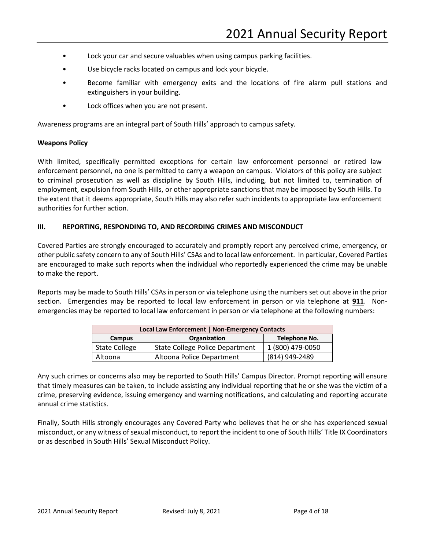- Lock your car and secure valuables when using campus parking facilities.
- Use bicycle racks located on campus and lock your bicycle.
- Become familiar with emergency exits and the locations of fire alarm pull stations and extinguishers in your building.
- Lock offices when you are not present.

Awareness programs are an integral part of South Hills' approach to campus safety.

#### **Weapons Policy**

With limited, specifically permitted exceptions for certain law enforcement personnel or retired law enforcement personnel, no one is permitted to carry a weapon on campus. Violators of this policy are subject to criminal prosecution as well as discipline by South Hills, including, but not limited to, termination of employment, expulsion from South Hills, or other appropriate sanctions that may be imposed by South Hills. To the extent that it deems appropriate, South Hills may also refer such incidents to appropriate law enforcement authorities for further action.

## **III. REPORTING, RESPONDING TO, AND RECORDING CRIMES AND MISCONDUCT**

Covered Parties are strongly encouraged to accurately and promptly report any perceived crime, emergency, or other public safety concern to any of South Hills' CSAs and to local law enforcement. In particular, Covered Parties are encouraged to make such reports when the individual who reportedly experienced the crime may be unable to make the report.

Reports may be made to South Hills' CSAs in person or via telephone using the numbers set out above in the prior section. Emergencies may be reported to local law enforcement in person or via telephone at **911**. Nonemergencies may be reported to local law enforcement in person or via telephone at the following numbers:

| Local Law Enforcement   Non-Emergency Contacts |                                        |                  |  |  |  |  |  |
|------------------------------------------------|----------------------------------------|------------------|--|--|--|--|--|
| Campus                                         | Telephone No.                          |                  |  |  |  |  |  |
| <b>State College</b>                           | <b>State College Police Department</b> | 1 (800) 479-0050 |  |  |  |  |  |
| Altoona                                        | Altoona Police Department              | (814) 949-2489   |  |  |  |  |  |

Any such crimes or concerns also may be reported to South Hills' Campus Director. Prompt reporting will ensure that timely measures can be taken, to include assisting any individual reporting that he or she was the victim of a crime, preserving evidence, issuing emergency and warning notifications, and calculating and reporting accurate annual crime statistics.

Finally, South Hills strongly encourages any Covered Party who believes that he or she has experienced sexual misconduct, or any witness of sexual misconduct, to report the incident to one of South Hills' Title IX Coordinators or as described in South Hills' Sexual Misconduct Policy.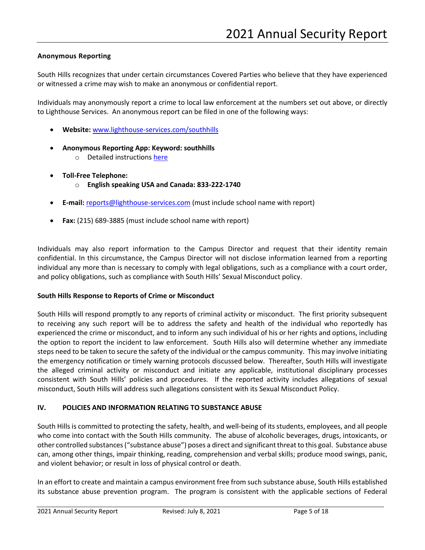## **Anonymous Reporting**

South Hills recognizes that under certain circumstances Covered Parties who believe that they have experienced or witnessed a crime may wish to make an anonymous or confidential report.

Individuals may anonymously report a crime to local law enforcement at the numbers set out above, or directly to Lighthouse Services. An anonymous report can be filed in one of the following ways:

- **Website:** [www.lighthouse-services.com/southhills](http://www.lighthouse-services.com/southhills)
- **Anonymous Reporting App: Keyword: southhills**
	- o Detailed instructions [here](https://www.lighthouse-services.com/documents/Using%20the%20Lighthouse%20Anonymous%20Reporting%20App.docx)
- **Toll-Free Telephone:**
	- o **English speaking USA and Canada: 833-222-1740**
- **E-mail:** [reports@lighthouse-services.com](mailto:reports@lighthouse-services.com) (must include school name with report)
- **Fax:** (215) 689-3885 (must include school name with report)

Individuals may also report information to the Campus Director and request that their identity remain confidential. In this circumstance, the Campus Director will not disclose information learned from a reporting individual any more than is necessary to comply with legal obligations, such as a compliance with a court order, and policy obligations, such as compliance with South Hills' Sexual Misconduct policy.

## **South Hills Response to Reports of Crime or Misconduct**

South Hills will respond promptly to any reports of criminal activity or misconduct. The first priority subsequent to receiving any such report will be to address the safety and health of the individual who reportedly has experienced the crime or misconduct, and to inform any such individual of his or her rights and options, including the option to report the incident to law enforcement. South Hills also will determine whether any immediate steps need to be taken to secure the safety of the individual or the campus community. This may involve initiating the emergency notification or timely warning protocols discussed below. Thereafter, South Hills will investigate the alleged criminal activity or misconduct and initiate any applicable, institutional disciplinary processes consistent with South Hills' policies and procedures. If the reported activity includes allegations of sexual misconduct, South Hills will address such allegations consistent with its Sexual Misconduct Policy.

## **IV. POLICIES AND INFORMATION RELATING TO SUBSTANCE ABUSE**

South Hills is committed to protecting the safety, health, and well-being of its students, employees, and all people who come into contact with the South Hills community. The abuse of alcoholic beverages, drugs, intoxicants, or other controlled substances ("substance abuse") poses a direct and significant threat to this goal. Substance abuse can, among other things, impair thinking, reading, comprehension and verbal skills; produce mood swings, panic, and violent behavior; or result in loss of physical control or death.

In an effort to create and maintain a campus environment free from such substance abuse, South Hills established its substance abuse prevention program. The program is consistent with the applicable sections of Federal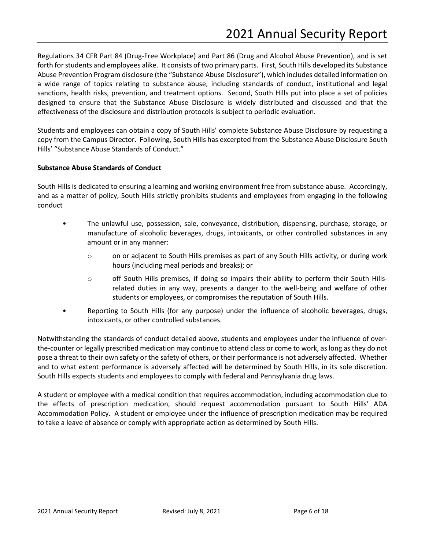Regulations 34 CFR Part 84 (Drug-Free Workplace) and Part 86 (Drug and Alcohol Abuse Prevention), and is set forth for students and employees alike. It consists of two primary parts. First, South Hills developed its Substance Abuse Prevention Program disclosure (the "Substance Abuse Disclosure"), which includes detailed information on a wide range of topics relating to substance abuse, including standards of conduct, institutional and legal sanctions, health risks, prevention, and treatment options. Second, South Hills put into place a set of policies designed to ensure that the Substance Abuse Disclosure is widely distributed and discussed and that the effectiveness of the disclosure and distribution protocols is subject to periodic evaluation.

Students and employees can obtain a copy of South Hills' complete Substance Abuse Disclosure by requesting a copy from the Campus Director. Following, South Hills has excerpted from the Substance Abuse Disclosure South Hills' "Substance Abuse Standards of Conduct."

# **Substance Abuse Standards of Conduct**

South Hills is dedicated to ensuring a learning and working environment free from substance abuse. Accordingly, and as a matter of policy, South Hills strictly prohibits students and employees from engaging in the following conduct

- The unlawful use, possession, sale, conveyance, distribution, dispensing, purchase, storage, or manufacture of alcoholic beverages, drugs, intoxicants, or other controlled substances in any amount or in any manner:
	- o on or adjacent to South Hills premises as part of any South Hills activity, or during work hours (including meal periods and breaks); or
	- o off South Hills premises, if doing so impairs their ability to perform their South Hillsrelated duties in any way, presents a danger to the well-being and welfare of other students or employees, or compromises the reputation of South Hills.
- Reporting to South Hills (for any purpose) under the influence of alcoholic beverages, drugs, intoxicants, or other controlled substances.

Notwithstanding the standards of conduct detailed above, students and employees under the influence of overthe-counter or legally prescribed medication may continue to attend class or come to work, as long as they do not pose a threat to their own safety or the safety of others, or their performance is not adversely affected. Whether and to what extent performance is adversely affected will be determined by South Hills, in its sole discretion. South Hills expects students and employees to comply with federal and Pennsylvania drug laws.

A student or employee with a medical condition that requires accommodation, including accommodation due to the effects of prescription medication, should request accommodation pursuant to South Hills' ADA Accommodation Policy. A student or employee under the influence of prescription medication may be required to take a leave of absence or comply with appropriate action as determined by South Hills.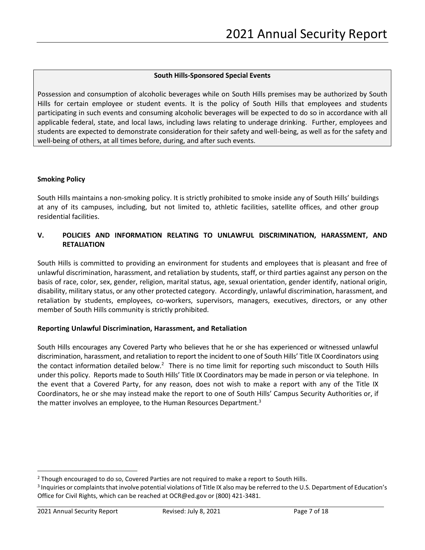# **South Hills-Sponsored Special Events**

Possession and consumption of alcoholic beverages while on South Hills premises may be authorized by South Hills for certain employee or student events. It is the policy of South Hills that employees and students participating in such events and consuming alcoholic beverages will be expected to do so in accordance with all applicable federal, state, and local laws, including laws relating to underage drinking. Further, employees and students are expected to demonstrate consideration for their safety and well-being, as well as for the safety and well-being of others, at all times before, during, and after such events.

## **Smoking Policy**

South Hills maintains a non-smoking policy. It is strictly prohibited to smoke inside any of South Hills' buildings at any of its campuses, including, but not limited to, athletic facilities, satellite offices, and other group residential facilities.

# **V. POLICIES AND INFORMATION RELATING TO UNLAWFUL DISCRIMINATION, HARASSMENT, AND RETALIATION**

South Hills is committed to providing an environment for students and employees that is pleasant and free of unlawful discrimination, harassment, and retaliation by students, staff, or third parties against any person on the basis of race, color, sex, gender, religion, marital status, age, sexual orientation, gender identify, national origin, disability, military status, or any other protected category. Accordingly, unlawful discrimination, harassment, and retaliation by students, employees, co-workers, supervisors, managers, executives, directors, or any other member of South Hills community is strictly prohibited.

## **Reporting Unlawful Discrimination, Harassment, and Retaliation**

South Hills encourages any Covered Party who believes that he or she has experienced or witnessed unlawful discrimination, harassment, and retaliation to report the incident to one of South Hills' Title IX Coordinators using the contact information detailed below.<sup>2</sup> There is no time limit for reporting such misconduct to South Hills under this policy. Reports made to South Hills' Title IX Coordinators may be made in person or via telephone. In the event that a Covered Party, for any reason, does not wish to make a report with any of the Title IX Coordinators, he or she may instead make the report to one of South Hills' Campus Security Authorities or, if the matter involves an employee, to the Human Resources Department.<sup>3</sup>

 $\overline{a}$ 

<sup>&</sup>lt;sup>2</sup> Though encouraged to do so, Covered Parties are not required to make a report to South Hills.

<sup>&</sup>lt;sup>3</sup> Inquiries or complaints that involve potential violations of Title IX also may be referred to the U.S. Department of Education's Office for Civil Rights, which can be reached at OCR@ed.gov or (800) 421-3481.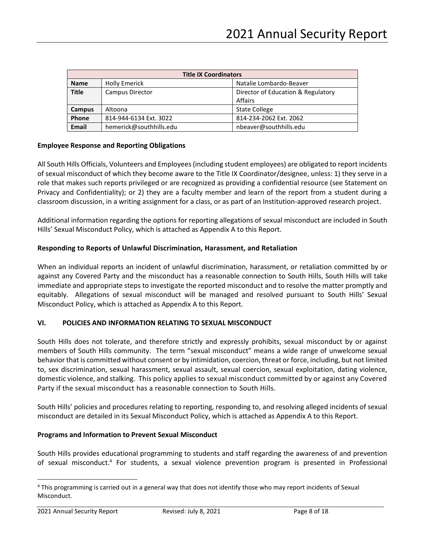|                                        | <b>Title IX Coordinators</b> |                                    |  |  |  |  |  |  |  |
|----------------------------------------|------------------------------|------------------------------------|--|--|--|--|--|--|--|
| <b>Name</b>                            | <b>Holly Emerick</b>         | Natalie Lombardo-Beaver            |  |  |  |  |  |  |  |
| <b>Title</b><br><b>Campus Director</b> |                              | Director of Education & Regulatory |  |  |  |  |  |  |  |
|                                        |                              | Affairs                            |  |  |  |  |  |  |  |
| <b>Campus</b>                          | Altoona                      | <b>State College</b>               |  |  |  |  |  |  |  |
| Phone<br>814-944-6134 Ext. 3022        |                              | 814-234-2062 Ext. 2062             |  |  |  |  |  |  |  |
| <b>Email</b>                           | hemerick@southhills.edu      | nbeaver@southhills.edu             |  |  |  |  |  |  |  |

## **Employee Response and Reporting Obligations**

All South Hills Officials, Volunteers and Employees (including student employees) are obligated to report incidents of sexual misconduct of which they become aware to the Title IX Coordinator/designee, unless: 1) they serve in a role that makes such reports privileged or are recognized as providing a confidential resource (see Statement on Privacy and Confidentiality); or 2) they are a faculty member and learn of the report from a student during a classroom discussion, in a writing assignment for a class, or as part of an Institution-approved research project.

Additional information regarding the options for reporting allegations of sexual misconduct are included in South Hills' Sexual Misconduct Policy, which is attached as Appendix A to this Report.

## **Responding to Reports of Unlawful Discrimination, Harassment, and Retaliation**

When an individual reports an incident of unlawful discrimination, harassment, or retaliation committed by or against any Covered Party and the misconduct has a reasonable connection to South Hills, South Hills will take immediate and appropriate steps to investigate the reported misconduct and to resolve the matter promptly and equitably. Allegations of sexual misconduct will be managed and resolved pursuant to South Hills' Sexual Misconduct Policy, which is attached as Appendix A to this Report.

## **VI. POLICIES AND INFORMATION RELATING TO SEXUAL MISCONDUCT**

South Hills does not tolerate, and therefore strictly and expressly prohibits, sexual misconduct by or against members of South Hills community. The term "sexual misconduct" means a wide range of unwelcome sexual behavior that is committed without consent or by intimidation, coercion, threat or force, including, but not limited to, sex discrimination, sexual harassment, sexual assault, sexual coercion, sexual exploitation, dating violence, domestic violence, and stalking. This policy applies to sexual misconduct committed by or against any Covered Party if the sexual misconduct has a reasonable connection to South Hills.

South Hills' policies and procedures relating to reporting, responding to, and resolving alleged incidents of sexual misconduct are detailed in its Sexual Misconduct Policy, which is attached as Appendix A to this Report.

## **Programs and Information to Prevent Sexual Misconduct**

South Hills provides educational programming to students and staff regarding the awareness of and prevention of sexual misconduct.<sup>4</sup> For students, a sexual violence prevention program is presented in Professional

 $\overline{a}$ 

<sup>&</sup>lt;sup>4</sup> This programming is carried out in a general way that does not identify those who may report incidents of Sexual Misconduct.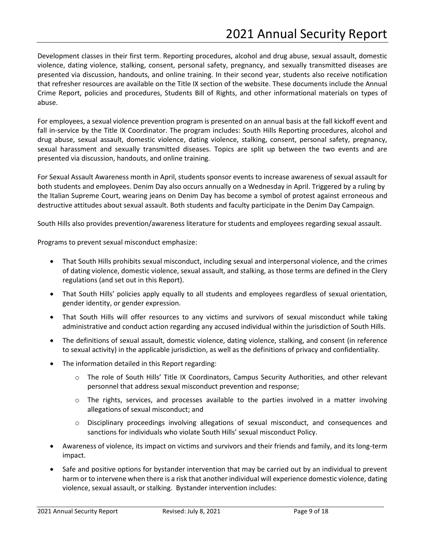Development classes in their first term. Reporting procedures, alcohol and drug abuse, sexual assault, domestic violence, dating violence, stalking, consent, personal safety, pregnancy, and sexually transmitted diseases are presented via discussion, handouts, and online training. In their second year, students also receive notification that refresher resources are available on the Title IX section of the website. These documents include the Annual Crime Report, policies and procedures, Students Bill of Rights, and other informational materials on types of abuse.

For employees, a sexual violence prevention program is presented on an annual basis at the fall kickoff event and fall in-service by the Title IX Coordinator. The program includes: South Hills Reporting procedures, alcohol and drug abuse, sexual assault, domestic violence, dating violence, stalking, consent, personal safety, pregnancy, sexual harassment and sexually transmitted diseases. Topics are split up between the two events and are presented via discussion, handouts, and online training.

For Sexual Assault Awareness month in April, students sponsor events to increase awareness of sexual assault for both students and employees. Denim Day also occurs annually on a Wednesday in April. Triggered by a ruling by the Italian Supreme Court, wearing jeans on Denim Day has become a symbol of protest against erroneous and destructive attitudes about sexual assault. Both students and faculty participate in the Denim Day Campaign.

South Hills also provides prevention/awareness literature for students and employees regarding sexual assault.

Programs to prevent sexual misconduct emphasize:

- That South Hills prohibits sexual misconduct, including sexual and interpersonal violence, and the crimes of dating violence, domestic violence, sexual assault, and stalking, as those terms are defined in the Clery regulations (and set out in this Report).
- That South Hills' policies apply equally to all students and employees regardless of sexual orientation, gender identity, or gender expression.
- That South Hills will offer resources to any victims and survivors of sexual misconduct while taking administrative and conduct action regarding any accused individual within the jurisdiction of South Hills.
- The definitions of sexual assault, domestic violence, dating violence, stalking, and consent (in reference to sexual activity) in the applicable jurisdiction, as well as the definitions of privacy and confidentiality.
- The information detailed in this Report regarding:
	- o The role of South Hills' Title IX Coordinators, Campus Security Authorities, and other relevant personnel that address sexual misconduct prevention and response;
	- o The rights, services, and processes available to the parties involved in a matter involving allegations of sexual misconduct; and
	- o Disciplinary proceedings involving allegations of sexual misconduct, and consequences and sanctions for individuals who violate South Hills' sexual misconduct Policy.
- Awareness of violence, its impact on victims and survivors and their friends and family, and its long-term impact.
- Safe and positive options for bystander intervention that may be carried out by an individual to prevent harm or to intervene when there is a risk that another individual will experience domestic violence, dating violence, sexual assault, or stalking. Bystander intervention includes: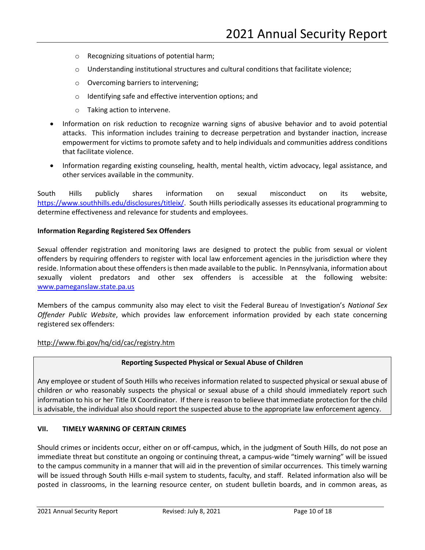- o Recognizing situations of potential harm;
- $\circ$  Understanding institutional structures and cultural conditions that facilitate violence;
- o Overcoming barriers to intervening;
- o Identifying safe and effective intervention options; and
- o Taking action to intervene.
- Information on risk reduction to recognize warning signs of abusive behavior and to avoid potential attacks. This information includes training to decrease perpetration and bystander inaction, increase empowerment for victims to promote safety and to help individuals and communities address conditions that facilitate violence.
- Information regarding existing counseling, health, mental health, victim advocacy, legal assistance, and other services available in the community.

South Hills publicly shares information on sexual misconduct on its website, [https://www.southhills.edu/disclosures/titleix/.](https://www.southhills.edu/disclosures/titleix/) South Hills periodically assesses its educational programming to determine effectiveness and relevance for students and employees.

## **Information Regarding Registered Sex Offenders**

Sexual offender registration and monitoring laws are designed to protect the public from sexual or violent offenders by requiring offenders to register with local law enforcement agencies in the jurisdiction where they reside. Information about these offenders is then made available to the public. In Pennsylvania, information about sexually violent predators and other sex offenders is accessible at the following website: [www.pameganslaw.state.pa.us](http://www.pameganslaw.state.pa.us/)

Members of the campus community also may elect to visit the Federal Bureau of Investigation's *National Sex Offender Public Website*, which provides law enforcement information provided by each state concerning registered sex offenders:

## <http://www.fbi.gov/hq/cid/cac/registry.htm>

## **Reporting Suspected Physical or Sexual Abuse of Children**

Any employee or student of South Hills who receives information related to suspected physical or sexual abuse of children *or* who reasonably suspects the physical or sexual abuse of a child should immediately report such information to his or her Title IX Coordinator. If there is reason to believe that immediate protection for the child is advisable, the individual also should report the suspected abuse to the appropriate law enforcement agency.

## **VII. TIMELY WARNING OF CERTAIN CRIMES**

Should crimes or incidents occur, either on or off-campus, which, in the judgment of South Hills, do not pose an immediate threat but constitute an ongoing or continuing threat, a campus-wide "timely warning" will be issued to the campus community in a manner that will aid in the prevention of similar occurrences. This timely warning will be issued through South Hills e-mail system to students, faculty, and staff. Related information also will be posted in classrooms, in the learning resource center, on student bulletin boards, and in common areas, as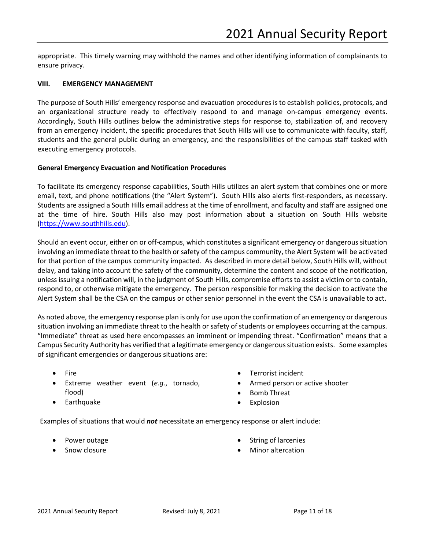appropriate. This timely warning may withhold the names and other identifying information of complainants to ensure privacy.

#### **VIII. EMERGENCY MANAGEMENT**

The purpose of South Hills' emergency response and evacuation procedures is to establish policies, protocols, and an organizational structure ready to effectively respond to and manage on-campus emergency events. Accordingly, South Hills outlines below the administrative steps for response to, stabilization of, and recovery from an emergency incident, the specific procedures that South Hills will use to communicate with faculty, staff, students and the general public during an emergency, and the responsibilities of the campus staff tasked with executing emergency protocols.

#### **General Emergency Evacuation and Notification Procedures**

To facilitate its emergency response capabilities, South Hills utilizes an alert system that combines one or more email, text, and phone notifications (the "Alert System"). South Hills also alerts first-responders, as necessary. Students are assigned a South Hills email address at the time of enrollment, and faculty and staff are assigned one at the time of hire. South Hills also may post information about a situation on South Hills website [\(https://www.southhills.edu\)](https://www.southhills.edu/).

Should an event occur, either on or off-campus, which constitutes a significant emergency or dangerous situation involving an immediate threat to the health or safety of the campus community, the Alert System will be activated for that portion of the campus community impacted. As described in more detail below, South Hills will, without delay, and taking into account the safety of the community, determine the content and scope of the notification, unless issuing a notification will, in the judgment of South Hills, compromise efforts to assist a victim or to contain, respond to, or otherwise mitigate the emergency. The person responsible for making the decision to activate the Alert System shall be the CSA on the campus or other senior personnel in the event the CSA is unavailable to act.

As noted above, the emergency response plan is only for use upon the confirmation of an emergency or dangerous situation involving an immediate threat to the health or safety of students or employees occurring at the campus. "Immediate" threat as used here encompasses an imminent or impending threat. "Confirmation" means that a Campus Security Authority has verified that a legitimate emergency or dangerous situation exists. Some examples of significant emergencies or dangerous situations are:

- Fire
- Extreme weather event (*e.g*., tornado, flood)
- Terrorist incident
- Armed person or active shooter
- Bomb Threat
- Explosion

Examples of situations that would *not* necessitate an emergency response or alert include:

• Power outage

• Earthquake

• Snow closure

- String of larcenies
- Minor altercation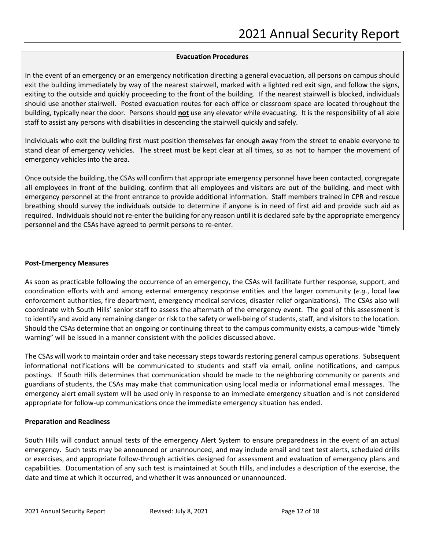#### **Evacuation Procedures**

In the event of an emergency or an emergency notification directing a general evacuation, all persons on campus should exit the building immediately by way of the nearest stairwell, marked with a lighted red exit sign, and follow the signs, exiting to the outside and quickly proceeding to the front of the building. If the nearest stairwell is blocked, individuals should use another stairwell. Posted evacuation routes for each office or classroom space are located throughout the building, typically near the door. Persons should **not** use any elevator while evacuating. It is the responsibility of all able staff to assist any persons with disabilities in descending the stairwell quickly and safely.

Individuals who exit the building first must position themselves far enough away from the street to enable everyone to stand clear of emergency vehicles. The street must be kept clear at all times, so as not to hamper the movement of emergency vehicles into the area.

Once outside the building, the CSAs will confirm that appropriate emergency personnel have been contacted, congregate all employees in front of the building, confirm that all employees and visitors are out of the building, and meet with emergency personnel at the front entrance to provide additional information. Staff members trained in CPR and rescue breathing should survey the individuals outside to determine if anyone is in need of first aid and provide such aid as required. Individuals should not re-enter the building for any reason until it is declared safe by the appropriate emergency personnel and the CSAs have agreed to permit persons to re-enter.

#### **Post-Emergency Measures**

As soon as practicable following the occurrence of an emergency, the CSAs will facilitate further response, support, and coordination efforts with and among external emergency response entities and the larger community (*e.g*., local law enforcement authorities, fire department, emergency medical services, disaster relief organizations). The CSAs also will coordinate with South Hills' senior staff to assess the aftermath of the emergency event. The goal of this assessment is to identify and avoid any remaining danger or risk to the safety or well-being of students, staff, and visitors to the location. Should the CSAs determine that an ongoing or continuing threat to the campus community exists, a campus-wide "timely warning" will be issued in a manner consistent with the policies discussed above.

The CSAs will work to maintain order and take necessary steps towards restoring general campus operations. Subsequent informational notifications will be communicated to students and staff via email, online notifications, and campus postings. If South Hills determines that communication should be made to the neighboring community or parents and guardians of students, the CSAs may make that communication using local media or informational email messages. The emergency alert email system will be used only in response to an immediate emergency situation and is not considered appropriate for follow-up communications once the immediate emergency situation has ended.

## **Preparation and Readiness**

South Hills will conduct annual tests of the emergency Alert System to ensure preparedness in the event of an actual emergency. Such tests may be announced or unannounced, and may include email and text test alerts, scheduled drills or exercises, and appropriate follow-through activities designed for assessment and evaluation of emergency plans and capabilities. Documentation of any such test is maintained at South Hills, and includes a description of the exercise, the date and time at which it occurred, and whether it was announced or unannounced.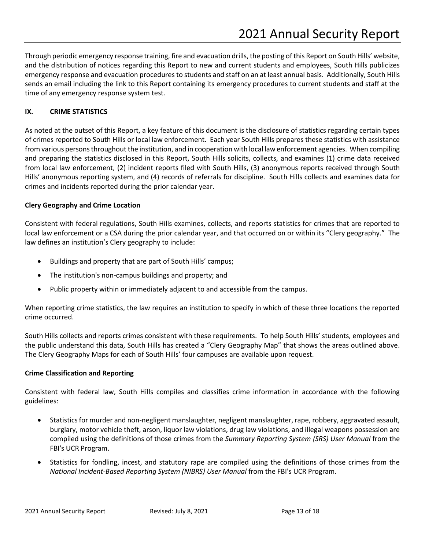Through periodic emergency response training, fire and evacuation drills, the posting of this Report on South Hills' website, and the distribution of notices regarding this Report to new and current students and employees, South Hills publicizes emergency response and evacuation procedures to students and staff on an at least annual basis. Additionally, South Hills sends an email including the link to this Report containing its emergency procedures to current students and staff at the time of any emergency response system test.

# **IX. CRIME STATISTICS**

As noted at the outset of this Report, a key feature of this document is the disclosure of statistics regarding certain types of crimes reported to South Hills or local law enforcement. Each year South Hills prepares these statistics with assistance from various persons throughout the institution, and in cooperation with local law enforcement agencies. When compiling and preparing the statistics disclosed in this Report, South Hills solicits, collects, and examines (1) crime data received from local law enforcement, (2) incident reports filed with South Hills, (3) anonymous reports received through South Hills' anonymous reporting system, and (4) records of referrals for discipline. South Hills collects and examines data for crimes and incidents reported during the prior calendar year.

## **Clery Geography and Crime Location**

Consistent with federal regulations, South Hills examines, collects, and reports statistics for crimes that are reported to local law enforcement or a CSA during the prior calendar year, and that occurred on or within its "Clery geography." The law defines an institution's Clery geography to include:

- Buildings and property that are part of South Hills' campus;
- The institution's non-campus buildings and property; and
- Public property within or immediately adjacent to and accessible from the campus.

When reporting crime statistics, the law requires an institution to specify in which of these three locations the reported crime occurred.

South Hills collects and reports crimes consistent with these requirements. To help South Hills' students, employees and the public understand this data, South Hills has created a "Clery Geography Map" that shows the areas outlined above. The Clery Geography Maps for each of South Hills' four campuses are available upon request.

## **Crime Classification and Reporting**

Consistent with federal law, South Hills compiles and classifies crime information in accordance with the following guidelines:

- Statistics for murder and non-negligent manslaughter, negligent manslaughter, rape, robbery, aggravated assault, burglary, motor vehicle theft, arson, liquor law violations, drug law violations, and illegal weapons possession are compiled using the definitions of those crimes from the *Summary Reporting System (SRS) User Manual* from the FBI's UCR Program.
- Statistics for fondling, incest, and statutory rape are compiled using the definitions of those crimes from the *National Incident-Based Reporting System (NIBRS) User Manual* from the FBI's UCR Program.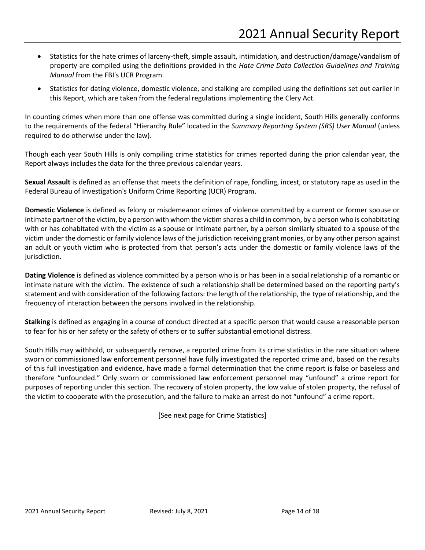- Statistics for the hate crimes of larceny-theft, simple assault, intimidation, and destruction/damage/vandalism of property are compiled using the definitions provided in the *Hate Crime Data Collection Guidelines and Training Manual* from the FBI's UCR Program.
- Statistics for dating violence, domestic violence, and stalking are compiled using the definitions set out earlier in this Report, which are taken from the federal regulations implementing the Clery Act.

In counting crimes when more than one offense was committed during a single incident, South Hills generally conforms to the requirements of the federal "Hierarchy Rule" located in the *Summary Reporting System (SRS) User Manual* (unless required to do otherwise under the law).

Though each year South Hills is only compiling crime statistics for crimes reported during the prior calendar year, the Report always includes the data for the three previous calendar years.

**Sexual Assault** is defined as an offense that meets the definition of rape, fondling, incest, or statutory rape as used in the Federal Bureau of Investigation's Uniform Crime Reporting (UCR) Program.

**Domestic Violence** is defined as felony or misdemeanor crimes of violence committed by a current or former spouse or intimate partner of the victim, by a person with whom the victim shares a child in common, by a person who is cohabitating with or has cohabitated with the victim as a spouse or intimate partner, by a person similarly situated to a spouse of the victim under the domestic or family violence laws of the jurisdiction receiving grant monies, or by any other person against an adult or youth victim who is protected from that person's acts under the domestic or family violence laws of the jurisdiction.

**Dating Violence** is defined as violence committed by a person who is or has been in a social relationship of a romantic or intimate nature with the victim. The existence of such a relationship shall be determined based on the reporting party's statement and with consideration of the following factors: the length of the relationship, the type of relationship, and the frequency of interaction between the persons involved in the relationship.

**Stalking** is defined as engaging in a course of conduct directed at a specific person that would cause a reasonable person to fear for his or her safety or the safety of others or to suffer substantial emotional distress.

South Hills may withhold, or subsequently remove, a reported crime from its crime statistics in the rare situation where sworn or commissioned law enforcement personnel have fully investigated the reported crime and, based on the results of this full investigation and evidence, have made a formal determination that the crime report is false or baseless and therefore "unfounded." Only sworn or commissioned law enforcement personnel may "unfound" a crime report for purposes of reporting under this section. The recovery of stolen property, the low value of stolen property, the refusal of the victim to cooperate with the prosecution, and the failure to make an arrest do not "unfound" a crime report.

[See next page for Crime Statistics]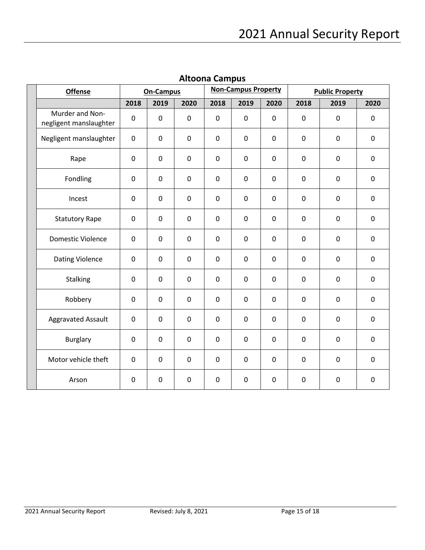| <b>Offense</b>                            | <b>On-Campus</b> |             |             | <b>Non-Campus Property</b> |             |             | <b>Public Property</b> |              |             |
|-------------------------------------------|------------------|-------------|-------------|----------------------------|-------------|-------------|------------------------|--------------|-------------|
|                                           | 2018             | 2019        | 2020        | 2018                       | 2019        | 2020        | 2018                   | 2019         | 2020        |
| Murder and Non-<br>negligent manslaughter | $\pmb{0}$        | $\mathbf 0$ | $\mathbf 0$ | $\mathbf 0$                | $\mathbf 0$ | $\pmb{0}$   | $\pmb{0}$              | $\mathbf 0$  | $\pmb{0}$   |
| Negligent manslaughter                    | $\mathbf 0$      | $\mathbf 0$ | $\mathbf 0$ | $\mathbf 0$                | $\mathbf 0$ | $\mathbf 0$ | 0                      | 0            | 0           |
| Rape                                      | $\pmb{0}$        | $\mathbf 0$ | $\pmb{0}$   | $\mathbf 0$                | $\mathbf 0$ | $\pmb{0}$   | $\pmb{0}$              | $\mathbf 0$  | $\pmb{0}$   |
| Fondling                                  | $\mathbf 0$      | $\mathbf 0$ | $\mathbf 0$ | $\mathbf 0$                | $\mathbf 0$ | $\mathbf 0$ | $\mathbf 0$            | $\mathbf 0$  | $\mathbf 0$ |
| Incest                                    | $\mathbf 0$      | $\mathbf 0$ | $\mathbf 0$ | $\mathbf 0$                | $\mathbf 0$ | $\mathbf 0$ | $\mathbf 0$            | $\mathbf 0$  | $\pmb{0}$   |
| <b>Statutory Rape</b>                     | $\mathbf 0$      | $\mathbf 0$ | $\mathbf 0$ | $\mathbf 0$                | $\mathbf 0$ | $\mathbf 0$ | $\mathbf 0$            | $\mathbf 0$  | $\mathbf 0$ |
| <b>Domestic Violence</b>                  | 0                | $\mathbf 0$ | $\mathbf 0$ | $\mathbf 0$                | $\mathbf 0$ | $\pmb{0}$   | $\mathbf 0$            | 0            | 0           |
| Dating Violence                           | $\mathbf 0$      | 0           | $\mathbf 0$ | 0                          | 0           | $\mathbf 0$ | $\mathbf 0$            | $\mathbf{0}$ | $\mathbf 0$ |
| <b>Stalking</b>                           | $\mathbf 0$      | $\mathbf 0$ | $\mathbf 0$ | $\mathbf 0$                | 0           | 0           | 0                      | 0            | 0           |
| Robbery                                   | $\pmb{0}$        | $\mathbf 0$ | $\mathbf 0$ | $\mathbf 0$                | $\mathbf 0$ | $\pmb{0}$   | $\pmb{0}$              | $\mathbf 0$  | $\pmb{0}$   |
| <b>Aggravated Assault</b>                 | $\pmb{0}$        | $\mathbf 0$ | $\mathbf 0$ | $\mathbf 0$                | $\mathbf 0$ | $\pmb{0}$   | $\pmb{0}$              | $\mathbf 0$  | $\pmb{0}$   |
| <b>Burglary</b>                           | $\mathbf 0$      | $\mathbf 0$ | $\mathbf 0$ | $\mathbf 0$                | $\mathbf 0$ | $\mathbf 0$ | $\mathbf 0$            | $\mathbf 0$  | $\mathbf 0$ |
| Motor vehicle theft                       | $\mathbf 0$      | $\mathbf 0$ | $\mathbf 0$ | $\mathbf 0$                | $\mathbf 0$ | $\mathbf 0$ | $\mathbf 0$            | $\mathbf 0$  | $\mathbf 0$ |
| Arson                                     | $\pmb{0}$        | 0           | $\pmb{0}$   | $\mathbf 0$                | $\pmb{0}$   | $\pmb{0}$   | $\pmb{0}$              | $\pmb{0}$    | $\pmb{0}$   |

**Altoona Campus**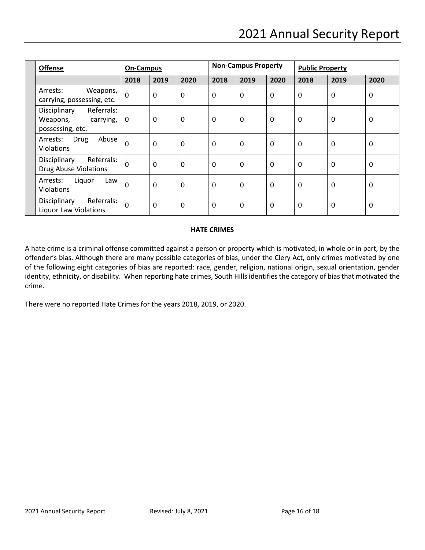| <b>Offense</b>                                                          | <b>On-Campus</b> |          | <b>Non-Campus Property</b> |              |      | <b>Public Property</b> |      |      |             |
|-------------------------------------------------------------------------|------------------|----------|----------------------------|--------------|------|------------------------|------|------|-------------|
|                                                                         | 2018             | 2019     | 2020                       | 2018         | 2019 | 2020                   | 2018 | 2019 | 2020        |
| Weapons,<br>Arrests:<br>carrying, possessing, etc.                      | $\mathbf 0$      | 0        | 0                          | 0            | 0    | 0                      | 0    | 0    | 0           |
| Referrals:<br>Disciplinary<br>Weapons,<br>carrying,<br>possessing, etc. | 0                | 0        | 0                          | 0            | 0    | 0                      | 0    | 0    | 0           |
| Drug<br>Abuse<br>Arrests:<br><b>Violations</b>                          | $\mathbf 0$      | $\Omega$ | 0                          | $\mathbf 0$  | 0    | 0                      | 0    | 0    | $\mathbf 0$ |
| Referrals:<br>Disciplinary<br><b>Drug Abuse Violations</b>              | 0                | $\Omega$ | 0                          | $\mathbf{0}$ | 0    | 0                      | 0    | 0    | $\Omega$    |
| Liquor<br>Arrests:<br>Law<br>Violations                                 | $\Omega$         | $\Omega$ | $\mathbf 0$                | $\mathbf{0}$ | 0    | 0                      | 0    | 0    | $\mathbf 0$ |
| Referrals:<br>Disciplinary<br><b>Liquor Law Violations</b>              | $\Omega$         | $\Omega$ | $\mathbf{0}$               | $\mathbf{0}$ | 0    | $\mathbf{0}$           | 0    | 0    | $\mathbf 0$ |

# **HATE CRIMES**

A hate crime is a criminal offense committed against a person or property which is motivated, in whole or in part, by the offender's bias. Although there are many possible categories of bias, under the Clery Act, only crimes motivated by one of the following eight categories of bias are reported: race, gender, religion, national origin, sexual orientation, gender identity, ethnicity, or disability. When reporting hate crimes, South Hills identifies the category of bias that motivated the crime.

There were no reported Hate Crimes for the years 2018, 2019, or 2020.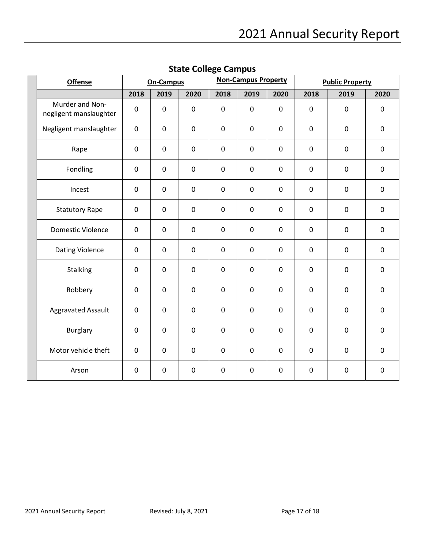| <b>Offense</b>                            | <b>On-Campus</b> |             |             | <b>Non-Campus Property</b> |             |             | <b>Public Property</b> |             |             |
|-------------------------------------------|------------------|-------------|-------------|----------------------------|-------------|-------------|------------------------|-------------|-------------|
|                                           | 2018             | 2019        | 2020        | 2018                       | 2019        | 2020        | 2018                   | 2019        | 2020        |
| Murder and Non-<br>negligent manslaughter | $\mathbf 0$      | $\mathbf 0$ | $\pmb{0}$   | $\pmb{0}$                  | $\mathbf 0$ | $\pmb{0}$   | 0                      | $\pmb{0}$   | 0           |
| Negligent manslaughter                    | $\mathbf 0$      | $\mathbf 0$ | $\mathbf 0$ | $\mathbf 0$                | $\mathbf 0$ | $\mathbf 0$ | $\mathbf 0$            | $\mathbf 0$ | $\mathbf 0$ |
| Rape                                      | $\pmb{0}$        | 0           | $\pmb{0}$   | $\pmb{0}$                  | $\pmb{0}$   | $\pmb{0}$   | $\pmb{0}$              | $\pmb{0}$   | 0           |
| Fondling                                  | $\mathbf 0$      | 0           | $\mathbf 0$ | $\mathbf 0$                | $\mathbf 0$ | $\mathbf 0$ | $\pmb{0}$              | $\mathbf 0$ | 0           |
| Incest                                    | $\pmb{0}$        | $\pmb{0}$   | $\pmb{0}$   | $\pmb{0}$                  | $\pmb{0}$   | $\pmb{0}$   | $\pmb{0}$              | $\pmb{0}$   | 0           |
| <b>Statutory Rape</b>                     | $\mathbf 0$      | $\mathbf 0$ | $\mathbf 0$ | $\mathbf 0$                | $\mathbf 0$ | $\mathbf 0$ | 0                      | $\mathbf 0$ | 0           |
| <b>Domestic Violence</b>                  | $\pmb{0}$        | 0           | $\pmb{0}$   | $\pmb{0}$                  | 0           | $\pmb{0}$   | 0                      | $\pmb{0}$   | 0           |
| <b>Dating Violence</b>                    | $\mathbf 0$      | 0           | $\mathbf 0$ | $\mathbf 0$                | 0           | $\mathbf 0$ | 0                      | $\mathbf 0$ | 0           |
| Stalking                                  | $\pmb{0}$        | $\mathsf 0$ | $\pmb{0}$   | $\pmb{0}$                  | $\pmb{0}$   | $\pmb{0}$   | $\pmb{0}$              | $\pmb{0}$   | 0           |
| Robbery                                   | $\mathbf 0$      | $\mathbf 0$ | $\mathbf 0$ | $\mathbf 0$                | 0           | $\mathbf 0$ | $\mathbf 0$            | $\mathbf 0$ | 0           |
| Aggravated Assault                        | $\pmb{0}$        | 0           | $\pmb{0}$   | $\pmb{0}$                  | $\pmb{0}$   | $\pmb{0}$   | $\pmb{0}$              | $\pmb{0}$   | $\pmb{0}$   |
| <b>Burglary</b>                           | $\mathbf 0$      | 0           | $\mathbf 0$ | $\mathbf 0$                | $\mathbf 0$ | $\pmb{0}$   | $\pmb{0}$              | $\mathbf 0$ | $\mathbf 0$ |
| Motor vehicle theft                       | $\pmb{0}$        | $\mathbf 0$ | $\pmb{0}$   | $\mathbf 0$                | $\mathbf 0$ | $\pmb{0}$   | 0                      | $\pmb{0}$   | 0           |
| Arson                                     | $\pmb{0}$        | $\mathbf 0$ | $\pmb{0}$   | $\pmb{0}$                  | 0           | $\pmb{0}$   | $\pmb{0}$              | $\pmb{0}$   | 0           |

**State College Campus**